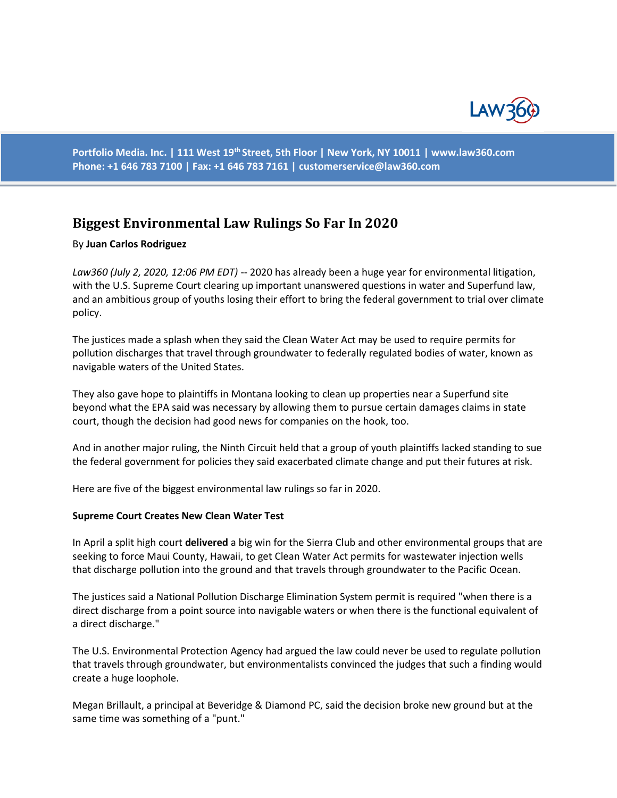

**Portfolio Media. Inc. | 111 West 19th Street, 5th Floor | New York, NY 10011 | www.law360.com Phone: +1 646 783 7100 | Fax: +1 646 783 7161 | customerservice@law360.com**

# **Biggest Environmental Law Rulings So Far In 2020**

### By **Juan Carlos Rodriguez**

*Law360 (July 2, 2020, 12:06 PM EDT)* -- 2020 has already been a huge year for environmental litigation, with the U.S. Supreme Court clearing up important unanswered questions in water and Superfund law, and an ambitious group of youths losing their effort to bring the federal government to trial over climate policy.

The justices made a splash when they said the Clean Water Act may be used to require permits for pollution discharges that travel through groundwater to federally regulated bodies of water, known as navigable waters of the United States.

They also gave hope to plaintiffs in Montana looking to clean up properties near a Superfund site beyond what the EPA said was necessary by allowing them to pursue certain damages claims in state court, though the decision had good news for companies on the hook, too.

And in another major ruling, the Ninth Circuit held that a group of youth plaintiffs lacked standing to sue the federal government for policies they said exacerbated climate change and put their futures at risk.

Here are five of the biggest environmental law rulings so far in 2020.

#### **Supreme Court Creates New Clean Water Test**

In April a split high court **delivered** a big win for the Sierra Club and other environmental groups that are seeking to force Maui County, Hawaii, to get Clean Water Act permits for wastewater injection wells that discharge pollution into the ground and that travels through groundwater to the Pacific Ocean.

The justices said a National Pollution Discharge Elimination System permit is required "when there is a direct discharge from a point source into navigable waters or when there is the functional equivalent of a direct discharge."

The U.S. Environmental Protection Agency had argued the law could never be used to regulate pollution that travels through groundwater, but environmentalists convinced the judges that such a finding would create a huge loophole.

Megan Brillault, a principal at Beveridge & Diamond PC, said the decision broke new ground but at the same time was something of a "punt."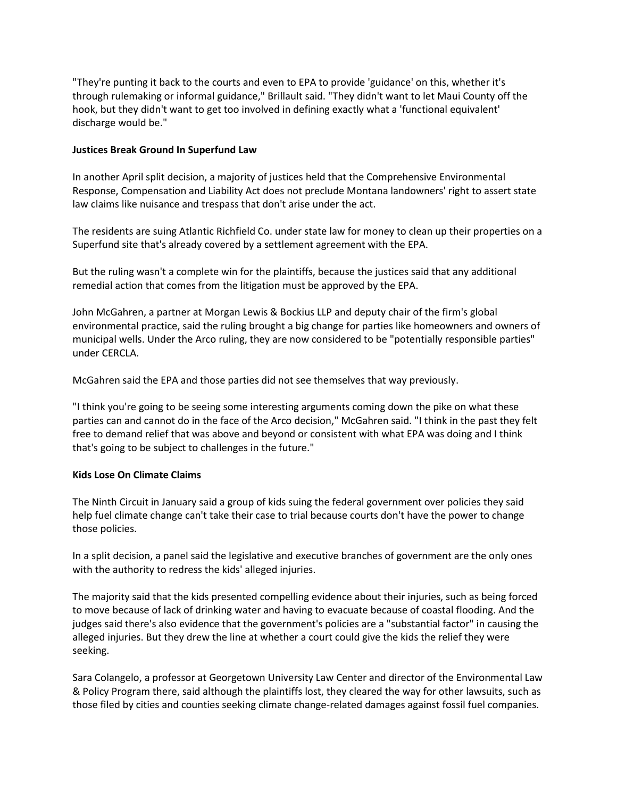"They're punting it back to the courts and even to EPA to provide 'guidance' on this, whether it's through rulemaking or informal guidance," Brillault said. "They didn't want to let Maui County off the hook, but they didn't want to get too involved in defining exactly what a 'functional equivalent' discharge would be."

## **Justices Break Ground In Superfund Law**

In another April split decision, a majority of justices held that the Comprehensive Environmental Response, Compensation and Liability Act does not preclude Montana landowners' right to assert state law claims like nuisance and trespass that don't arise under the act.

The residents are suing Atlantic Richfield Co. under state law for money to clean up their properties on a Superfund site that's already covered by a settlement agreement with the EPA.

But the ruling wasn't a complete win for the plaintiffs, because the justices said that any additional remedial action that comes from the litigation must be approved by the EPA.

John McGahren, a partner at Morgan Lewis & Bockius LLP and deputy chair of the firm's global environmental practice, said the ruling brought a big change for parties like homeowners and owners of municipal wells. Under the Arco ruling, they are now considered to be "potentially responsible parties" under CERCLA.

McGahren said the EPA and those parties did not see themselves that way previously.

"I think you're going to be seeing some interesting arguments coming down the pike on what these parties can and cannot do in the face of the Arco decision," McGahren said. "I think in the past they felt free to demand relief that was above and beyond or consistent with what EPA was doing and I think that's going to be subject to challenges in the future."

#### **Kids Lose On Climate Claims**

The Ninth Circuit in January said a group of kids suing the federal government over policies they said help fuel climate change can't take their case to trial because courts don't have the power to change those policies.

In a split decision, a panel said the legislative and executive branches of government are the only ones with the authority to redress the kids' alleged injuries.

The majority said that the kids presented compelling evidence about their injuries, such as being forced to move because of lack of drinking water and having to evacuate because of coastal flooding. And the judges said there's also evidence that the government's policies are a "substantial factor" in causing the alleged injuries. But they drew the line at whether a court could give the kids the relief they were seeking.

Sara Colangelo, a professor at Georgetown University Law Center and director of the Environmental Law & Policy Program there, said although the plaintiffs lost, they cleared the way for other lawsuits, such as those filed by cities and counties seeking climate change-related damages against fossil fuel companies.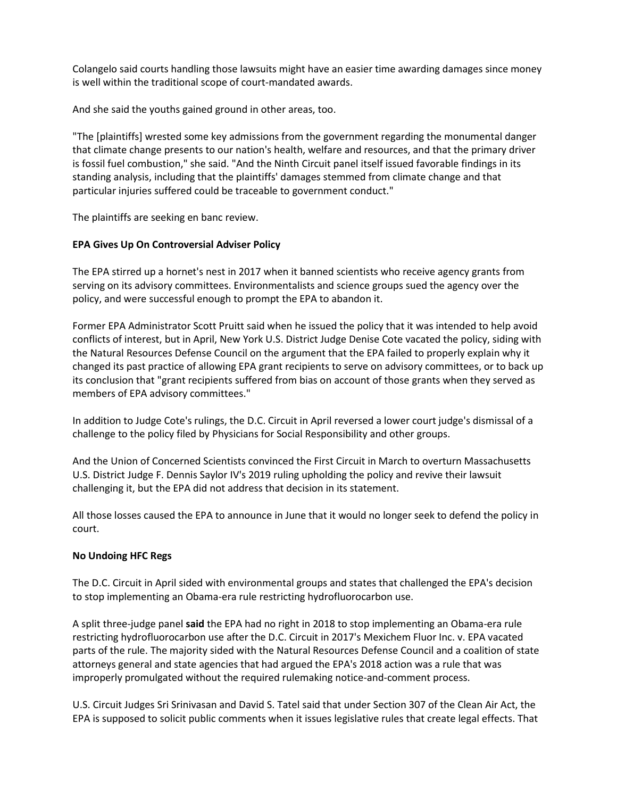Colangelo said courts handling those lawsuits might have an easier time awarding damages since money is well within the traditional scope of court-mandated awards.

And she said the youths gained ground in other areas, too.

"The [plaintiffs] wrested some key admissions from the government regarding the monumental danger that climate change presents to our nation's health, welfare and resources, and that the primary driver is fossil fuel combustion," she said. "And the Ninth Circuit panel itself issued favorable findings in its standing analysis, including that the plaintiffs' damages stemmed from climate change and that particular injuries suffered could be traceable to government conduct."

The plaintiffs are seeking en banc review.

## **EPA Gives Up On Controversial Adviser Policy**

The EPA stirred up a hornet's nest in 2017 when it banned scientists who receive agency grants from serving on its advisory committees. Environmentalists and science groups sued the agency over the policy, and were successful enough to prompt the EPA to abandon it.

Former EPA Administrator Scott Pruitt said when he issued the policy that it was intended to help avoid conflicts of interest, but in April, New York U.S. District Judge Denise Cote vacated the policy, siding with the Natural Resources Defense Council on the argument that the EPA failed to properly explain why it changed its past practice of allowing EPA grant recipients to serve on advisory committees, or to back up its conclusion that "grant recipients suffered from bias on account of those grants when they served as members of EPA advisory committees."

In addition to Judge Cote's rulings, the D.C. Circuit in April reversed a lower court judge's dismissal of a challenge to the policy filed by Physicians for Social Responsibility and other groups.

And the Union of Concerned Scientists convinced the First Circuit in March to overturn Massachusetts U.S. District Judge F. Dennis Saylor IV's 2019 ruling upholding the policy and revive their lawsuit challenging it, but the EPA did not address that decision in its statement.

All those losses caused the EPA to announce in June that it would no longer seek to defend the policy in court.

# **No Undoing HFC Regs**

The D.C. Circuit in April sided with environmental groups and states that challenged the EPA's decision to stop implementing an Obama-era rule restricting hydrofluorocarbon use.

A split three-judge panel **said** the EPA had no right in 2018 to stop implementing an Obama-era rule restricting hydrofluorocarbon use after the D.C. Circuit in 2017's Mexichem Fluor Inc. v. EPA vacated parts of the rule. The majority sided with the Natural Resources Defense Council and a coalition of state attorneys general and state agencies that had argued the EPA's 2018 action was a rule that was improperly promulgated without the required rulemaking notice-and-comment process.

U.S. Circuit Judges Sri Srinivasan and David S. Tatel said that under Section 307 of the Clean Air Act, the EPA is supposed to solicit public comments when it issues legislative rules that create legal effects. That